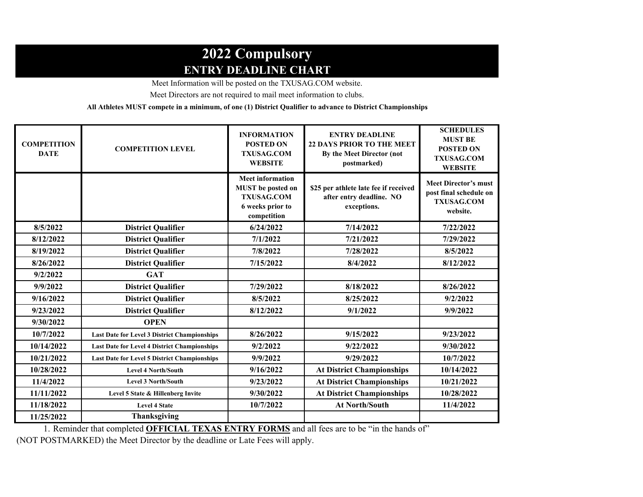## **2022 Compulsory ENTRY DEADLINE CHART**

Meet Information will be posted on the TXUSAG.COM website.

Meet Directors are not required to mail meet information to clubs.

**All Athletes MUST compete in a minimum, of one (1) District Qualifier to advance to District Championships**.

| <b>COMPETITION</b><br><b>DATE</b> | <b>COMPETITION LEVEL</b>                            | <b>INFORMATION</b><br><b>POSTED ON</b><br><b>TXUSAG.COM</b><br><b>WEBSITE</b>                        | <b>ENTRY DEADLINE</b><br><b>22 DAYS PRIOR TO THE MEET</b><br>By the Meet Director (not<br>postmarked) | <b>SCHEDULES</b><br><b>MUST BE</b><br><b>POSTED ON</b><br><b>TXUSAG.COM</b><br><b>WEBSITE</b> |
|-----------------------------------|-----------------------------------------------------|------------------------------------------------------------------------------------------------------|-------------------------------------------------------------------------------------------------------|-----------------------------------------------------------------------------------------------|
|                                   |                                                     | <b>Meet information</b><br>MUST be posted on<br><b>TXUSAG.COM</b><br>6 weeks prior to<br>competition | \$25 per athlete late fee if received<br>after entry deadline. NO<br>exceptions.                      | <b>Meet Director's must</b><br>post final schedule on<br><b>TXUSAG.COM</b><br>website.        |
| 8/5/2022                          | <b>District Qualifier</b>                           | 6/24/2022                                                                                            | 7/14/2022                                                                                             | 7/22/2022                                                                                     |
| 8/12/2022                         | <b>District Qualifier</b>                           | 7/1/2022                                                                                             | 7/21/2022                                                                                             | 7/29/2022                                                                                     |
| 8/19/2022                         | <b>District Qualifier</b>                           | 7/8/2022                                                                                             | 7/28/2022                                                                                             | 8/5/2022                                                                                      |
| 8/26/2022                         | <b>District Qualifier</b>                           | 7/15/2022                                                                                            | 8/4/2022                                                                                              | 8/12/2022                                                                                     |
| 9/2/2022                          | <b>GAT</b>                                          |                                                                                                      |                                                                                                       |                                                                                               |
| 9/9/2022                          | <b>District Qualifier</b>                           | 7/29/2022                                                                                            | 8/18/2022                                                                                             | 8/26/2022                                                                                     |
| 9/16/2022                         | <b>District Qualifier</b>                           | 8/5/2022                                                                                             | 8/25/2022                                                                                             | 9/2/2022                                                                                      |
| 9/23/2022                         | <b>District Qualifier</b>                           | 8/12/2022                                                                                            | 9/1/2022                                                                                              | 9/9/2022                                                                                      |
| 9/30/2022                         | <b>OPEN</b>                                         |                                                                                                      |                                                                                                       |                                                                                               |
| 10/7/2022                         | Last Date for Level 3 District Championships        | 8/26/2022                                                                                            | 9/15/2022                                                                                             | 9/23/2022                                                                                     |
| 10/14/2022                        | <b>Last Date for Level 4 District Championships</b> | 9/2/2022                                                                                             | 9/22/2022                                                                                             | 9/30/2022                                                                                     |
| 10/21/2022                        | Last Date for Level 5 District Championships        | 9/9/2022                                                                                             | 9/29/2022                                                                                             | 10/7/2022                                                                                     |
| 10/28/2022                        | <b>Level 4 North/South</b>                          | 9/16/2022                                                                                            | <b>At District Championships</b>                                                                      | 10/14/2022                                                                                    |
| 11/4/2022                         | <b>Level 3 North/South</b>                          | 9/23/2022                                                                                            | <b>At District Championships</b>                                                                      | 10/21/2022                                                                                    |
| 11/11/2022                        | Level 5 State & Hillenberg Invite                   | 9/30/2022                                                                                            | <b>At District Championships</b>                                                                      | 10/28/2022                                                                                    |
| 11/18/2022                        | <b>Level 4 State</b>                                | 10/7/2022                                                                                            | <b>At North/South</b>                                                                                 | 11/4/2022                                                                                     |
| 11/25/2022                        | <b>Thanksgiving</b>                                 |                                                                                                      |                                                                                                       |                                                                                               |

1. Reminder that completed **OFFICIAL TEXAS ENTRY FORMS** and all fees are to be "in the hands of"

(NOT POSTMARKED) the Meet Director by the deadline or Late Fees will apply.